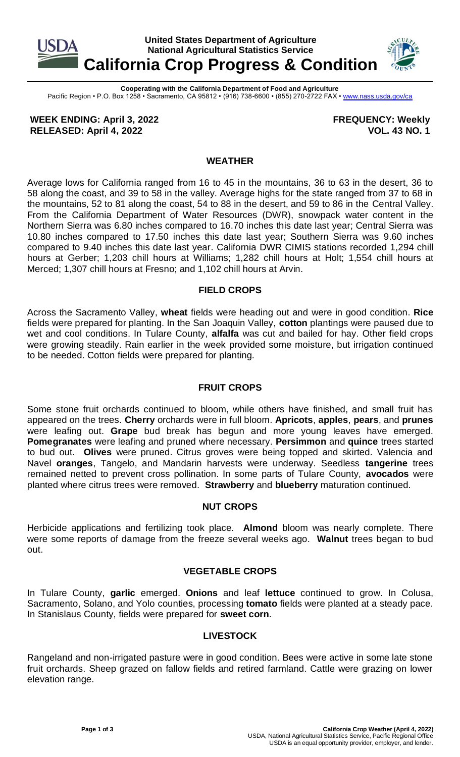

**Cooperating with the California Department of Food and Agriculture** Pacific Region • P.O. Box 1258 • Sacramento, CA 95812 • (916) 738-6600 • (855) 270-2722 FAX [• www.nass.usda.gov/ca](http://www.nass.usda.gov/ca)

**WEEK ENDING: April 3, 2022 RELEASED: April 4, 2022**

**FREQUENCY: Weekly VOL. 43 NO. 1**

### **WEATHER**

Average lows for California ranged from 16 to 45 in the mountains, 36 to 63 in the desert, 36 to 58 along the coast, and 39 to 58 in the valley. Average highs for the state ranged from 37 to 68 in the mountains, 52 to 81 along the coast, 54 to 88 in the desert, and 59 to 86 in the Central Valley. From the California Department of Water Resources (DWR), snowpack water content in the Northern Sierra was 6.80 inches compared to 16.70 inches this date last year; Central Sierra was 10.80 inches compared to 17.50 inches this date last year; Southern Sierra was 9.60 inches compared to 9.40 inches this date last year. California DWR CIMIS stations recorded 1,294 chill hours at Gerber; 1,203 chill hours at Williams; 1,282 chill hours at Holt; 1,554 chill hours at Merced; 1,307 chill hours at Fresno; and 1,102 chill hours at Arvin.

# **FIELD CROPS**

Across the Sacramento Valley, **wheat** fields were heading out and were in good condition. **Rice** fields were prepared for planting. In the San Joaquin Valley, **cotton** plantings were paused due to wet and cool conditions. In Tulare County, **alfalfa** was cut and bailed for hay. Other field crops were growing steadily. Rain earlier in the week provided some moisture, but irrigation continued to be needed. Cotton fields were prepared for planting.

# **FRUIT CROPS**

Some stone fruit orchards continued to bloom, while others have finished, and small fruit has appeared on the trees. **Cherry** orchards were in full bloom. **Apricots**, **apples**, **pears**, and **prunes** were leafing out. **Grape** bud break has begun and more young leaves have emerged. **Pomegranates** were leafing and pruned where necessary. **Persimmon** and **quince** trees started to bud out. **Olives** were pruned. Citrus groves were being topped and skirted. Valencia and Navel **oranges**, Tangelo, and Mandarin harvests were underway. Seedless **tangerine** trees remained netted to prevent cross pollination. In some parts of Tulare County, **avocados** were planted where citrus trees were removed. **Strawberry** and **blueberry** maturation continued.

### **NUT CROPS**

Herbicide applications and fertilizing took place. **Almond** bloom was nearly complete. There were some reports of damage from the freeze several weeks ago. **Walnut** trees began to bud out.

# **VEGETABLE CROPS**

In Tulare County, **garlic** emerged. **Onions** and leaf **lettuce** continued to grow. In Colusa, Sacramento, Solano, and Yolo counties, processing **tomato** fields were planted at a steady pace. In Stanislaus County, fields were prepared for **sweet corn**.

# **LIVESTOCK**

Rangeland and non-irrigated pasture were in good condition. Bees were active in some late stone fruit orchards. Sheep grazed on fallow fields and retired farmland. Cattle were grazing on lower elevation range.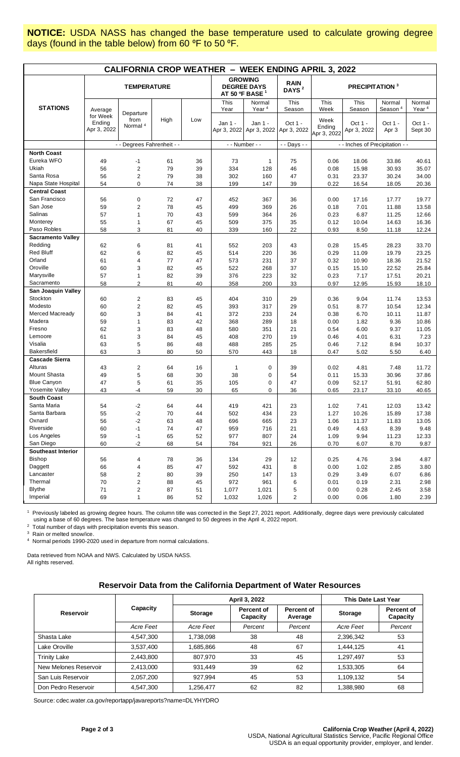**NOTICE:** USDA NASS has changed the base temperature used to calculate growing degree days (found in the table below) from 60 °F to 50 °F.

| <b>CALIFORNIA CROP WEATHER - WEEK ENDING APRIL 3, 2022</b> |                                              |                                          |                |     |                                                         |                                             |                                  |                                       |                                  |                                         |                                         |
|------------------------------------------------------------|----------------------------------------------|------------------------------------------|----------------|-----|---------------------------------------------------------|---------------------------------------------|----------------------------------|---------------------------------------|----------------------------------|-----------------------------------------|-----------------------------------------|
|                                                            | <b>TEMPERATURE</b>                           |                                          |                |     | <b>GROWING</b><br><b>DEGREE DAYS</b><br>AT 50 °F BASE 1 |                                             | <b>RAIN</b><br>DAYS <sup>2</sup> | <b>PRECIPITATION 3</b>                |                                  |                                         |                                         |
| <b>STATIONS</b>                                            |                                              |                                          |                |     | This                                                    | Normal                                      | This                             | This                                  | This                             | Normal                                  | Normal                                  |
|                                                            | Average<br>for Week<br>Ending<br>Apr 3, 2022 | Departure<br>from<br>Normal <sup>4</sup> | High           | Low | Year<br>Jan 1 -<br>Apr 3, 2022                          | Year <sup>4</sup><br>Jan 1 -<br>Apr 3, 2022 | Season<br>Oct 1 -<br>Apr 3, 2022 | Week<br>Week<br>Ending<br>Apr 3, 2022 | Season<br>Oct 1 -<br>Apr 3, 2022 | Season <sup>4</sup><br>Oct 1 -<br>Apr 3 | Year <sup>4</sup><br>Oct 1 -<br>Sept 30 |
|                                                            | - - Degrees Fahrenheit - -                   |                                          | - - Number - - |     | - - Days - -                                            | - - Inches of Precipitation - -             |                                  |                                       |                                  |                                         |                                         |
| <b>North Coast</b>                                         |                                              |                                          |                |     |                                                         |                                             |                                  |                                       |                                  |                                         |                                         |
| Eureka WFO                                                 | 49                                           | $-1$                                     | 61             | 36  | 73                                                      | $\mathbf{1}$                                | 75                               | 0.06                                  | 18.06                            | 33.86                                   | 40.61                                   |
| Ukiah                                                      | 56                                           | $\sqrt{2}$                               | 79             | 39  | 334                                                     | 128                                         | 46                               | 0.08                                  | 15.98                            | 30.93                                   | 35.07                                   |
| Santa Rosa                                                 | 56                                           | $\sqrt{2}$                               | 79             | 38  | 302                                                     | 160                                         | 47                               | 0.31                                  | 23.37                            | 30.24                                   | 34.00                                   |
| Napa State Hospital                                        | 54                                           | $\mathbf 0$                              | 74             | 38  | 199                                                     | 147                                         | 39                               | 0.22                                  | 16.54                            | 18.05                                   | 20.36                                   |
| <b>Central Coast</b>                                       |                                              |                                          |                |     |                                                         |                                             |                                  |                                       |                                  |                                         |                                         |
| San Francisco                                              | 56                                           | $\mathbf 0$                              | 72             | 47  | 452                                                     | 367                                         | 36                               | 0.00                                  | 17.16                            | 17.77                                   | 19.77                                   |
| San Jose                                                   | 59                                           | $\overline{2}$                           | 78             | 45  | 499                                                     | 369                                         | 26                               | 0.18                                  | 7.01                             | 11.88                                   | 13.58                                   |
| Salinas                                                    | 57                                           | $\mathbf{1}$                             | 70             | 43  | 599                                                     | 364                                         | 26                               | 0.23                                  | 6.87                             | 11.25                                   | 12.66                                   |
| Monterey                                                   | 55                                           | $\mathbf{1}$                             | 67             | 45  | 509                                                     | 375                                         | 35                               | 0.12                                  | 10.04                            | 14.63                                   | 16.36                                   |
| Paso Robles                                                | 58                                           | 3                                        | 81             | 40  | 339                                                     | 160                                         | 22                               | 0.93                                  | 8.50                             | 11.18                                   | 12.24                                   |
| <b>Sacramento Valley</b>                                   |                                              |                                          |                |     |                                                         |                                             |                                  |                                       |                                  |                                         |                                         |
| Redding                                                    | 62                                           | 6                                        | 81             | 41  | 552                                                     | 203                                         | 43                               | 0.28                                  | 15.45                            | 28.23                                   | 33.70                                   |
| <b>Red Bluff</b>                                           | 62                                           | 6                                        | 82             | 45  | 514                                                     | 220                                         | 36                               | 0.29                                  | 11.09                            | 19.79                                   | 23.25                                   |
| Orland                                                     | 61                                           | $\overline{4}$                           | 77             | 47  | 573                                                     | 231                                         | 37                               | 0.32                                  | 10.90                            | 18.36                                   | 21.52                                   |
| Oroville                                                   | 60                                           | 3                                        | 82             | 45  | 522                                                     | 268                                         | 37                               | 0.15                                  | 15.10                            | 22.52                                   | 25.84                                   |
| Marysville                                                 | 57                                           | $\overline{1}$                           | 82             | 39  | 376                                                     | 223                                         | 32                               | 0.23                                  | 7.17                             | 17.51                                   | 20.21                                   |
| Sacramento                                                 | 58                                           | $\overline{2}$                           | 81             | 40  | 358                                                     | 200                                         | 33                               | 0.97                                  | 12.95                            | 15.93                                   | 18.10                                   |
| San Joaquin Valley                                         |                                              |                                          |                |     |                                                         |                                             |                                  |                                       |                                  |                                         |                                         |
| Stockton                                                   | 60                                           | $\overline{c}$                           | 83             | 45  | 404                                                     | 310                                         | 29                               | 0.36                                  | 9.04                             | 11.74                                   | 13.53                                   |
| Modesto                                                    | 60                                           | $\sqrt{2}$                               | 82             | 45  | 393                                                     | 317                                         | 29                               | 0.51                                  | 8.77                             | 10.54                                   | 12.34                                   |
| Merced Macready                                            | 60                                           | $\mathsf 3$                              | 84             | 41  | 372                                                     | 233                                         | 24                               | 0.38                                  | 6.70                             | 10.11                                   | 11.87                                   |
| Madera                                                     | 59                                           | $\mathbf{1}$                             | 83             | 42  | 368                                                     | 289                                         | 18                               | 0.00                                  | 1.82                             | 9.36                                    | 10.86                                   |
| Fresno                                                     | 62                                           | 3                                        | 83             | 48  | 580                                                     | 351                                         | 21                               | 0.54                                  | 6.00                             | 9.37                                    | 11.05                                   |
| Lemoore                                                    | 61                                           | 3                                        | 84             | 45  | 408                                                     | 270                                         | 19                               | 0.46                                  | 4.01                             | 6.31                                    | 7.23                                    |
| Visalia                                                    | 63                                           | 5                                        | 86             | 48  | 488                                                     | 285                                         | 25                               | 0.46                                  | 7.12                             | 8.94                                    | 10.37                                   |
| <b>Bakersfield</b>                                         | 63                                           | 3                                        | 80             | 50  | 570                                                     | 443                                         | 18                               | 0.47                                  | 5.02                             | 5.50                                    | 6.40                                    |
| <b>Cascade Sierra</b>                                      |                                              |                                          |                |     |                                                         |                                             |                                  |                                       |                                  |                                         |                                         |
| Alturas                                                    | 43                                           | $\overline{c}$                           | 64             | 16  | 1                                                       | 0                                           | 39                               | 0.02                                  | 4.81                             | 7.48                                    | 11.72                                   |
| Mount Shasta                                               | 49                                           | 5                                        | 68             | 30  | 38                                                      | 0                                           | 54                               | 0.11                                  | 15.33                            | 30.96                                   | 37.86                                   |
| <b>Blue Canyon</b>                                         | 47                                           | 5                                        | 61             | 35  | 105                                                     | 0                                           | 47                               | 0.09                                  | 52.17                            | 51.91                                   | 62.80                                   |
| Yosemite Valley                                            | 43                                           | $-4$                                     | 59             | 30  | 65                                                      | 0                                           | 36                               | 0.65                                  | 23.17                            | 33.10                                   | 40.65                                   |
| <b>South Coast</b>                                         |                                              |                                          |                |     |                                                         |                                             |                                  |                                       |                                  |                                         |                                         |
| Santa Maria                                                | 54                                           | $-2$                                     | 64             | 44  | 419                                                     | 421                                         | 23                               | 1.02                                  | 7.41                             | 12.03                                   | 13.42                                   |
| Santa Barbara                                              | 55                                           | $-2$                                     | 70             | 44  | 502                                                     | 434                                         | 23                               | 1.27                                  | 10.26                            | 15.89                                   | 17.38                                   |
| Oxnard                                                     | 56                                           | $-2$                                     | 63             | 48  | 696                                                     | 665                                         | 23                               | 1.06                                  | 11.37                            | 11.83                                   | 13.05                                   |
| Riverside                                                  | 60                                           | $-1$                                     | 74             | 47  | 959                                                     | 716                                         | 21                               | 0.49                                  | 4.63                             | 8.39                                    | 9.48                                    |
| Los Angeles                                                | 59                                           | $-1$                                     | 65             | 52  | 977                                                     | 807                                         | 24                               | 1.09                                  | 9.94                             | 11.23                                   | 12.33                                   |
| San Diego                                                  | 60                                           | $-2$                                     | 68             | 54  | 784                                                     | 921                                         | 26                               | 0.70                                  | 6.07                             | 8.70                                    | 9.87                                    |
| <b>Southeast Interior</b>                                  |                                              |                                          |                |     |                                                         |                                             |                                  |                                       |                                  |                                         |                                         |
| Bishop                                                     | 56                                           | 4                                        | 78             | 36  | 134                                                     | 29                                          | 12                               | 0.25                                  | 4.76                             | 3.94                                    | 4.87                                    |
| Daggett                                                    | 66                                           | $\overline{\mathbf{4}}$                  | 85             | 47  | 592                                                     | 431                                         | 8                                | 0.00                                  | 1.02                             | 2.85                                    | 3.80                                    |
| Lancaster                                                  | 58                                           | $\overline{c}$                           | 80             | 39  | 250                                                     | 147                                         | 13                               | 0.29                                  | 3.49                             | 6.07                                    | 6.86                                    |
| Thermal                                                    | 70                                           | $\overline{2}$                           | 88             | 45  | 972                                                     | 961                                         | 6                                | 0.01                                  | 0.19                             | 2.31                                    | 2.98                                    |
| <b>Blythe</b>                                              | 71                                           | $\overline{c}$                           | 87             | 51  | 1,077                                                   | 1,021                                       | 5                                | 0.00                                  | 0.28                             | 2.45                                    | 3.58                                    |
| Imperial                                                   | 69                                           | $\mathbf{1}$                             | 86             | 52  | 1,032                                                   | 1,026                                       | $\overline{2}$                   | 0.00                                  | 0.06                             | 1.80                                    | 2.39                                    |

<sup>1</sup> Previously labeled as growing degree hours. The column title was corrected in the Sept 27, 2021 report. Additionally, degree days were previously calculated using a base of 60 degrees. The base temperature was changed to 50 degrees in the April 4, 2022 report.

<sup>2</sup> Total number of days with precipitation events this season.

3 Rain or melted snow/ice.

4 Normal periods 1990-2020 used in departure from normal calculations.

Data retrieved from NOAA and NWS. Calculated by USDA NASS. All rights reserved.

### **Reservoir Data from the California Department of Water Resources**

|                       |           |           | April 3, 2022          | This Date Last Year   |                |                        |
|-----------------------|-----------|-----------|------------------------|-----------------------|----------------|------------------------|
| <b>Reservoir</b>      | Capacity  | Storage   | Percent of<br>Capacity | Percent of<br>Average | <b>Storage</b> | Percent of<br>Capacity |
|                       | Acre Feet | Acre Feet | Percent                | Percent               | Acre Feet      | Percent                |
| Shasta Lake           | 4,547,300 | 1,738,098 | 38                     | 48                    | 2,396,342      | 53                     |
| Lake Oroville         | 3,537,400 | 1,685,866 | 48                     | 67                    | 1,444,125      | 41                     |
| <b>Trinity Lake</b>   | 2,443,800 | 807.970   | 33                     | 45                    | 1,297,497      | 53                     |
| New Melones Reservoir | 2,413,000 | 931,449   | 39                     | 62                    | 1,533,305      | 64                     |
| San Luis Reservoir    | 2,057,200 | 927.994   | 45                     | 53                    | 1,109,132      | 54                     |
| Don Pedro Reservoir   | 4.547.300 | 1,256,477 | 62                     | 82                    | 1.388.980      | 68                     |

Source[: cdec.water.ca.gov/reportapp/javareports?name=DLYHYDRO](https://cdec.water.ca.gov/reportapp/javareports?name=DLYHYDRO)